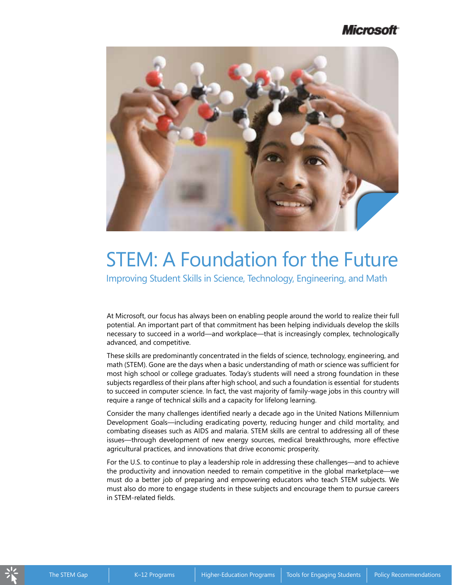# Microsoft



# STEM: A Foundation for the Future

Improving Student Skills in Science, Technology, Engineering, and Math

At Microsoft, our focus has always been on enabling people around the world to realize their full potential. An important part of that commitment has been helping individuals develop the skills necessary to succeed in a world—and workplace—that is increasingly complex, technologically advanced, and competitive.

These skills are predominantly concentrated in the fields of science, technology, engineering, and math (STEM). Gone are the days when a basic understanding of math or science was sufficient for most high school or college graduates. Today's students will need a strong foundation in these subjects regardless of their plans after high school, and such a foundation is essential for students to succeed in computer science. In fact, the vast majority of family-wage jobs in this country will require a range of technical skills and a capacity for lifelong learning.

Consider the many challenges identified nearly a decade ago in the United Nations Millennium Development Goals—including eradicating poverty, reducing hunger and child mortality, and combating diseases such as AIDS and malaria. STEM skills are central to addressing all of these issues—through development of new energy sources, medical breakthroughs, more effective agricultural practices, and innovations that drive economic prosperity.

For the U.S. to continue to play a leadership role in addressing these challenges—and to achieve the productivity and innovation needed to remain competitive in the global marketplace—we must do a better job of preparing and empowering educators who teach STEM subjects. We must also do more to engage students in these subjects and encourage them to pursue careers in STEM-related fields.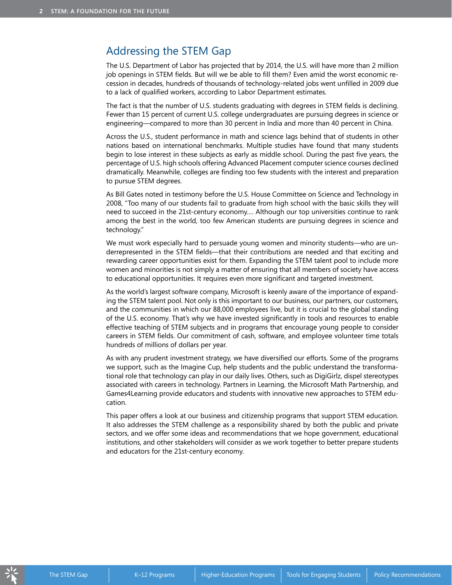## Addressing the STEM Gap

The U.S. Department of Labor has projected that by 2014, the U.S. will have more than 2 million job openings in STEM fields. But will we be able to fill them? Even amid the worst economic recession in decades, hundreds of thousands of technology-related jobs went unfilled in 2009 due to a lack of qualified workers, according to Labor Department estimates.

The fact is that the number of U.S. students graduating with degrees in STEM fields is declining. Fewer than 15 percent of current U.S. college undergraduates are pursuing degrees in science or engineering—compared to more than 30 percent in India and more than 40 percent in China.

Across the U.S., student performance in math and science lags behind that of students in other nations based on international benchmarks. Multiple studies have found that many students begin to lose interest in these subjects as early as middle school. During the past five years, the percentage of U.S. high schools offering Advanced Placement computer science courses declined dramatically. Meanwhile, colleges are finding too few students with the interest and preparation to pursue STEM degrees.

As Bill Gates noted in testimony before the U.S. House Committee on Science and Technology in 2008, "Too many of our students fail to graduate from high school with the basic skills they will need to succeed in the 21st-century economy.… Although our top universities continue to rank among the best in the world, too few American students are pursuing degrees in science and technology."

We must work especially hard to persuade young women and minority students—who are underrepresented in the STEM fields—that their contributions are needed and that exciting and rewarding career opportunities exist for them. Expanding the STEM talent pool to include more women and minorities is not simply a matter of ensuring that all members of society have access to educational opportunities. It requires even more significant and targeted investment.

As the world's largest software company, Microsoft is keenly aware of the importance of expanding the STEM talent pool. Not only is this important to our business, our partners, our customers, and the communities in which our 88,000 employees live, but it is crucial to the global standing of the U.S. economy. That's why we have invested significantly in tools and resources to enable effective teaching of STEM subjects and in programs that encourage young people to consider careers in STEM fields. Our commitment of cash, software, and employee volunteer time totals hundreds of millions of dollars per year.

As with any prudent investment strategy, we have diversified our efforts. Some of the programs we support, such as the Imagine Cup, help students and the public understand the transformational role that technology can play in our daily lives. Others, such as DigiGirlz, dispel stereotypes associated with careers in technology. Partners in Learning, the Microsoft Math Partnership, and Games4Learning provide educators and students with innovative new approaches to STEM education.

This paper offers a look at our business and citizenship programs that support STEM education. It also addresses the STEM challenge as a responsibility shared by both the public and private sectors, and we offer some ideas and recommendations that we hope government, educational institutions, and other stakeholders will consider as we work together to better prepare students and educators for the 21st-century economy.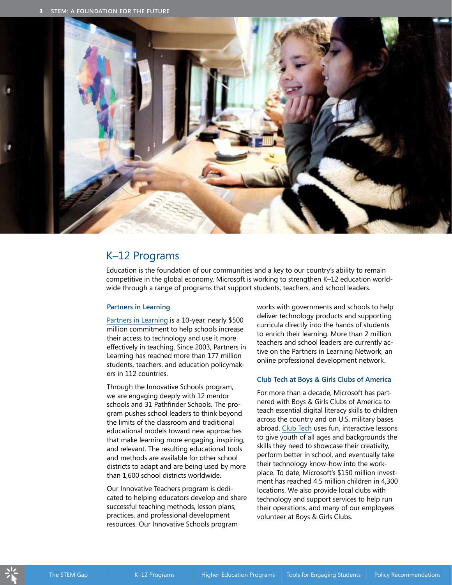

### K–12 Programs

Education is the foundation of our communities and a key to our country's ability to remain competitive in the global economy. Microsoft is working to strengthen K–12 education worldwide through a range of programs that support students, teachers, and school leaders.

#### **Partners in Learning**

[Partners in Learning](http://www.microsoft.com/education/pil/partnersInLearning.aspx) is a 10-year, nearly \$500 million commitment to help schools increase their access to technology and use it more effectively in teaching. Since 2003, Partners in Learning has reached more than 177 million students, teachers, and education policymakers in 112 countries.

Through the Innovative Schools program, we are engaging deeply with 12 mentor schools and 31 Pathfinder Schools. The program pushes school leaders to think beyond the limits of the classroom and traditional educational models toward new approaches that make learning more engaging, inspiring, and relevant. The resulting educational tools and methods are available for other school districts to adapt and are being used by more than 1,600 school districts worldwide.

Our Innovative Teachers program is dedicated to helping educators develop and share successful teaching methods, lesson plans, practices, and professional development resources. Our Innovative Schools program

works with governments and schools to help deliver technology products and supporting curricula directly into the hands of students to enrich their learning. More than 2 million teachers and school leaders are currently active on the Partners in Learning Network, an online professional development network.

#### **Club Tech at Boys & Girls Clubs of America**

For more than a decade, Microsoft has partnered with Boys & Girls Clubs of America to teach essential digital literacy skills to children across the country and on U.S. military bases abroad. [Club Tech](http://www.bgca.org/programs/specialized.asp) uses fun, interactive lessons to give youth of all ages and backgrounds the skills they need to showcase their creativity, perform better in school, and eventually take their technology know-how into the workplace. To date, Microsoft's \$150 million investment has reached 4.5 million children in 4,300 locations. We also provide local clubs with technology and support services to help run their operations, and many of our employees volunteer at Boys & Girls Clubs.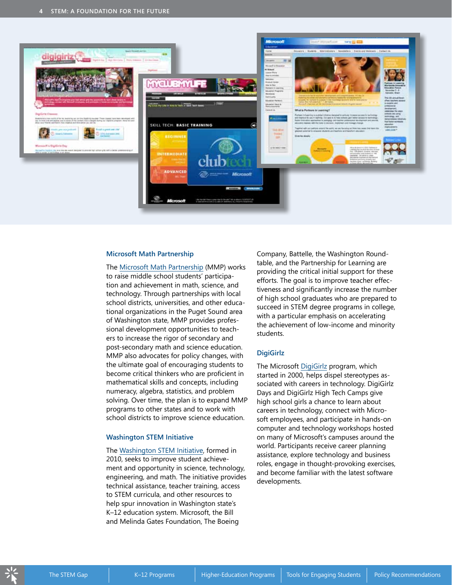

#### **Microsoft Math Partnership**

The [Microsoft Math Partnership](www.microsoft.com/about/corporatecitizenship/citizenship/giving/programs/mathfaq.mspx) (MMP) works to raise middle school students' participation and achievement in math, science, and technology. Through partnerships with local school districts, universities, and other educational organizations in the Puget Sound area of Washington state, MMP provides professional development opportunities to teachers to increase the rigor of secondary and post-secondary math and science education. MMP also advocates for policy changes, with the ultimate goal of encouraging students to become critical thinkers who are proficient in mathematical skills and concepts, including numeracy, algebra, statistics, and problem solving. Over time, the plan is to expand MMP programs to other states and to work with school districts to improve science education.

#### **Washington STEM Initiative**

The [Washington STEM Initiative](http://www.partnership4learning.org/priorities/initiatives/stem), formed in 2010, seeks to improve student achievement and opportunity in science, technology, engineering, and math. The initiative provides technical assistance, teacher training, access to STEM curricula, and other resources to help spur innovation in Washington state's K–12 education system. Microsoft, the Bill and Melinda Gates Foundation, The Boeing

Company, Battelle, the Washington Roundtable, and the Partnership for Learning are providing the critical initial support for these efforts. The goal is to improve teacher effectiveness and significantly increase the number of high school graduates who are prepared to succeed in STEM degree programs in college, with a particular emphasis on accelerating the achievement of low-income and minority students.

#### **DigiGirlz**

The Microsoft [DigiGirlz](http://www.microsoft.com/digigirlz) program, which started in 2000, helps dispel stereotypes associated with careers in technology. DigiGirlz Days and DigiGirlz High Tech Camps give high school girls a chance to learn about careers in technology, connect with Microsoft employees, and participate in hands-on computer and technology workshops hosted on many of Microsoft's campuses around the world. Participants receive career planning assistance, explore technology and business roles, engage in thought-provoking exercises, and become familiar with the latest software developments.

The STEM Gap Higher-Education Programs Higher-Education Programs Tools for Engaging Students Policy Recommendations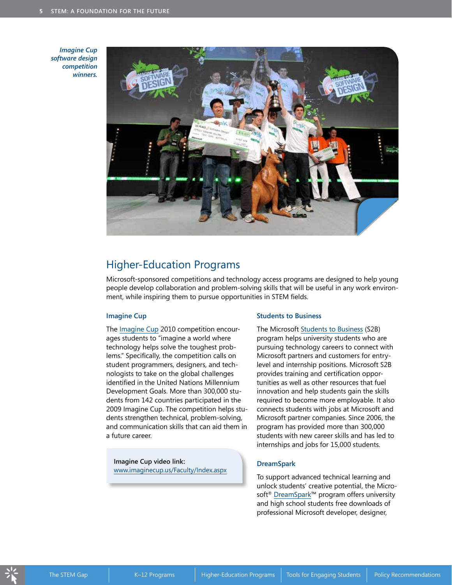*Imagine Cup software design competition winners.*



## Higher-Education Programs

Microsoft-sponsored competitions and technology access programs are designed to help young people develop collaboration and problem-solving skills that will be useful in any work environment, while inspiring them to pursue opportunities in STEM fields.

#### **Imagine Cup**

The [Imagine Cup](http://www.imaginecup.us/) 2010 competition encourages students to "imagine a world where technology helps solve the toughest problems." Specifically, the competition calls on student programmers, designers, and technologists to take on the global challenges identified in the United Nations Millennium Development Goals. More than 300,000 students from 142 countries participated in the 2009 Imagine Cup. The competition helps students strengthen technical, problem-solving, and communication skills that can aid them in a future career.

**Imagine Cup video link:** [www.imaginecup.us/Faculty/Index.aspx](http://www.imaginecup.us/Faculty/Index.aspx)

#### **Students to Business**

The Microsoft [Students to Business](http://www.microsoft.com/studentstobusiness/home/default.aspx) (S2B) program helps university students who are pursuing technology careers to connect with Microsoft partners and customers for entrylevel and internship positions. Microsoft S2B provides training and certification opportunities as well as other resources that fuel innovation and help students gain the skills required to become more employable. It also connects students with jobs at Microsoft and Microsoft partner companies. Since 2006, the program has provided more than 300,000 students with new career skills and has led to internships and jobs for 15,000 students.

#### **DreamSpark**

To support advanced technical learning and unlock students' creative potential, the Micro-soft<sup>®</sup> [DreamSpark™](www.dreamspark.com) program offers university and high school students free downloads of professional Microsoft developer, designer,

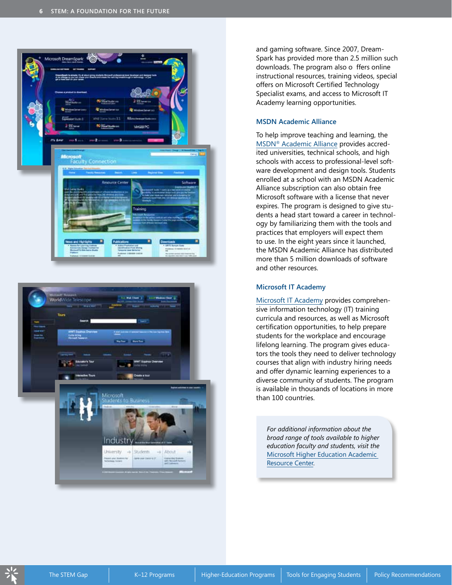



and gaming software. Since 2007, Dream-Spark has provided more than 2.5 million such downloads. The program also o ffers online instructional resources, training videos, special offers on Microsoft Certified Technology Specialist exams, and access to Microsoft IT Academy learning opportunities.

#### **MSDN Academic Alliance**

To help improve teaching and learning, the MSDN[® Academic Alliance](http://msdn.microsoft.com/en-us/academic/default.aspx) provides accredited universities, technical schools, and high schools with access to professional-level software development and design tools. Students enrolled at a school with an MSDN Academic Alliance subscription can also obtain free Microsoft software with a license that never expires. The program is designed to give students a head start toward a career in technology by familiarizing them with the tools and practices that employers will expect them to use. In the eight years since it launched, the MSDN Academic Alliance has distributed more than 5 million downloads of software and other resources.

#### **Microsoft IT Academy**

[Microsoft IT Academy](http://www.microsoft.com/education/MSITAcademy/default.mspx) provides comprehensive information technology (IT) training curricula and resources, as well as Microsoft certification opportunities, to help prepare students for the workplace and encourage lifelong learning. The program gives educators the tools they need to deliver technology courses that align with industry hiring needs and offer dynamic learning experiences to a diverse community of students. The program is available in thousands of locations in more than 100 countries.

*For additional information about the broad range of tools available to higher education faculty and students, visit the* [Microsoft Higher Education Academic](http://www.microsoft.com/education/highered/)  [Resource Center.](http://www.microsoft.com/education/highered/)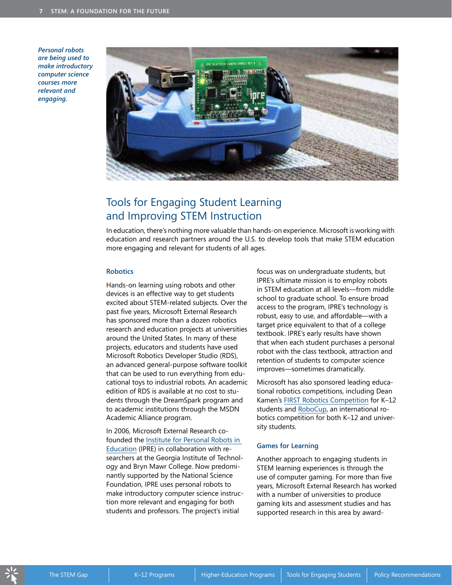*Personal robots are being used to make introductory computer science courses more relevant and engaging.*



# Tools for Engaging Student Learning and Improving STEM Instruction

In education, there's nothing more valuable than hands-on experience. Microsoft is working with education and research partners around the U.S. to develop tools that make STEM education more engaging and relevant for students of all ages.

#### **Robotics**

Hands-on learning using robots and other devices is an effective way to get students excited about STEM-related subjects. Over the past five years, Microsoft External Research has sponsored more than a dozen robotics research and education projects at universities around the United States. In many of these projects, educators and students have used Microsoft Robotics Developer Studio (RDS), an advanced general-purpose software toolkit that can be used to run everything from educational toys to industrial robots. An academic edition of RDS is available at no cost to students through the DreamSpark program and to academic institutions through the MSDN Academic Alliance program.

In 2006, Microsoft External Research cofounded the [Institute for Personal Robots in](http://roboteducation.org/)  [Education](http://roboteducation.org/) (IPRE) in collaboration with researchers at the Georgia Institute of Technology and Bryn Mawr College. Now predominantly supported by the National Science Foundation, IPRE uses personal robots to make introductory computer science instruction more relevant and engaging for both students and professors. The project's initial

focus was on undergraduate students, but IPRE's ultimate mission is to employ robots in STEM education at all levels—from middle school to graduate school. To ensure broad access to the program, IPRE's technology is robust, easy to use, and affordable—with a target price equivalent to that of a college textbook. IPRE's early results have shown that when each student purchases a personal robot with the class textbook, attraction and retention of students to computer science improves—sometimes dramatically.

Microsoft has also sponsored leading educational robotics competitions, including Dean Kamen's [FIRST Robotics Competition](http://www.usfirst.org/roboticsprograms/frc/default.aspx?id=966) for K–12 students and [RoboCup,](http://www.robocup.org/) an international robotics competition for both K–12 and university students.

#### **Games for Learning**

Another approach to engaging students in STEM learning experiences is through the use of computer gaming. For more than five years, Microsoft External Research has worked with a number of universities to produce gaming kits and assessment studies and has supported research in this area by award-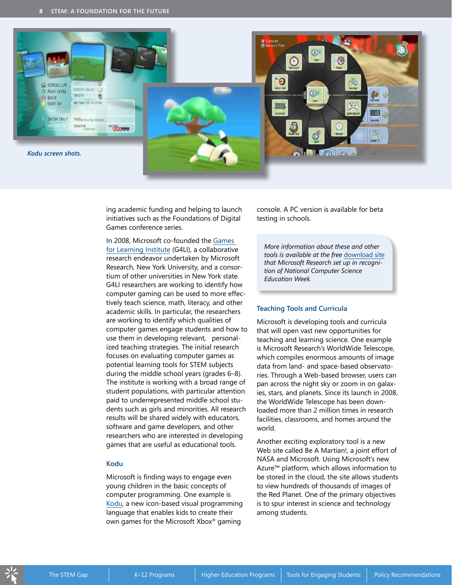

ing academic funding and helping to launch initiatives such as the Foundations of Digital Games conference series.

In 2008, Microsoft co-founded the [Games](http://g4li.org/)  [for Learning Institute](http://g4li.org/) (G4LI), a collaborative research endeavor undertaken by Microsoft Research, New York University, and a consortium of other universities in New York state. G4LI researchers are working to identify how computer gaming can be used to more effectively teach science, math, literacy, and other academic skills. In particular, the researchers are working to identify which qualities of computer games engage students and how to use them in developing relevant, personalized teaching strategies. The initial research focuses on evaluating computer games as potential learning tools for STEM subjects during the middle school years (grades 6–8). The institute is working with a broad range of student populations, with particular attention paid to underrepresented middle school students such as girls and minorities. All research results will be shared widely with educators, software and game developers, and other researchers who are interested in developing games that are useful as educational tools.

#### **Kodu**

Microsoft is finding ways to engage even young children in the basic concepts of computer programming. One example is [Kodu,](http://research.microsoft.com/en-us/projects/kodu/) a new icon-based visual programming language that enables kids to create their own games for the Microsoft Xbox® gaming

console. A PC version is available for beta testing in schools.

*More information about these and other tools is available at the free* [download site](http://research.microsoft.com/en-us/events/csew/software.aspx) *that Microsoft Research set up in recognition of National Computer Science Education Week.*

#### **Teaching Tools and Curricula**

Microsoft is developing tools and curricula that will open vast new opportunities for teaching and learning science. One example is Microsoft Research's WorldWide Telescope, which compiles enormous amounts of image data from land- and space-based observatories. Through a Web-based browser, users can pan across the night sky or zoom in on galaxies, stars, and planets. Since its launch in 2008, the WorldWide Telescope has been downloaded more than 2 million times in research facilities, classrooms, and homes around the world.

Another exciting exploratory tool is a new Web site called Be A Martian!, a joint effort of NASA and Microsoft. Using Microsoft's new Azure™ platform, which allows information to be stored in the cloud, the site allows students to view hundreds of thousands of images of the Red Planet. One of the primary objectives is to spur interest in science and technology among students.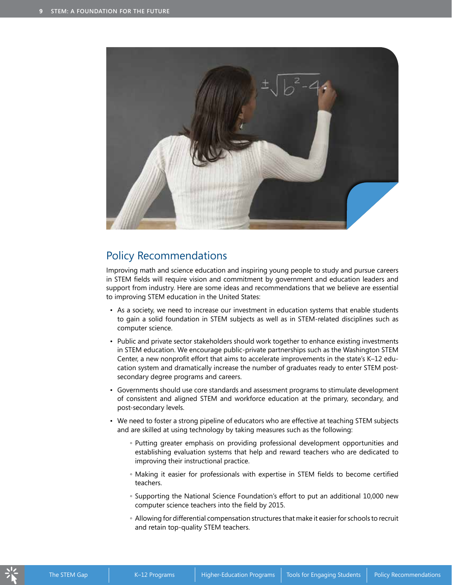

## Policy Recommendations

Improving math and science education and inspiring young people to study and pursue careers in STEM fields will require vision and commitment by government and education leaders and support from industry. Here are some ideas and recommendations that we believe are essential to improving STEM education in the United States:

- As a society, we need to increase our investment in education systems that enable students to gain a solid foundation in STEM subjects as well as in STEM-related disciplines such as computer science.
- Public and private sector stakeholders should work together to enhance existing investments in STEM education. We encourage public-private partnerships such as the Washington STEM Center, a new nonprofit effort that aims to accelerate improvements in the state's K–12 education system and dramatically increase the number of graduates ready to enter STEM postsecondary degree programs and careers.
- Governments should use core standards and assessment programs to stimulate development of consistent and aligned STEM and workforce education at the primary, secondary, and post-secondary levels.
- We need to foster a strong pipeline of educators who are effective at teaching STEM subjects and are skilled at using technology by taking measures such as the following:
	- Putting greater emphasis on providing professional development opportunities and establishing evaluation systems that help and reward teachers who are dedicated to improving their instructional practice.
	- Making it easier for professionals with expertise in STEM fields to become certified teachers.
	- Supporting the National Science Foundation's effort to put an additional 10,000 new computer science teachers into the field by 2015.
	- Allowing for differential compensation structures that make it easier for schools to recruit and retain top-quality STEM teachers.